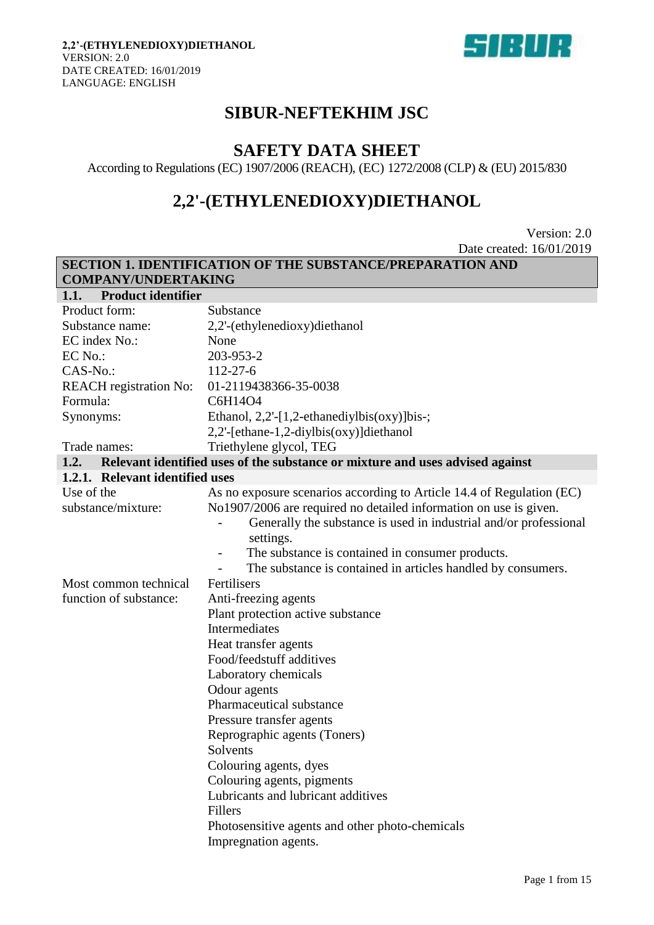

# **SIBUR-NEFTEKHIM JSC**

# **SAFETY DATA SHEET**

According to Regulations (EC) 1907/2006 (REACH), (EC) 1272/2008 (CLP) & (EU) 2015/830

# **2,2'-(ETHYLENEDIOXY)DIETHANOL**

Version: 2.0 Date created: 16/01/2019

|                                   | <b>SECTION 1. IDENTIFICATION OF THE SUBSTANCE/PREPARATION AND</b>             |  |  |
|-----------------------------------|-------------------------------------------------------------------------------|--|--|
| <b>COMPANY/UNDERTAKING</b>        |                                                                               |  |  |
| <b>Product identifier</b><br>1.1. |                                                                               |  |  |
| Product form:                     | Substance                                                                     |  |  |
| Substance name:                   | 2,2'-(ethylenedioxy)diethanol                                                 |  |  |
| EC index No.:                     | None                                                                          |  |  |
| EC No.:                           | 203-953-2                                                                     |  |  |
| CAS-No.:                          | $112 - 27 - 6$                                                                |  |  |
| <b>REACH</b> registration No:     | 01-2119438366-35-0038                                                         |  |  |
| Formula:                          | C6H14O4                                                                       |  |  |
| Synonyms:                         | Ethanol, $2,2'$ -[1,2-ethanediylbis(oxy)]bis-;                                |  |  |
|                                   | $2,2'$ -[ethane-1,2-diylbis(oxy)]diethanol                                    |  |  |
| Trade names:                      | Triethylene glycol, TEG                                                       |  |  |
| 1.2.                              | Relevant identified uses of the substance or mixture and uses advised against |  |  |
| 1.2.1. Relevant identified uses   |                                                                               |  |  |
| Use of the                        | As no exposure scenarios according to Article 14.4 of Regulation (EC)         |  |  |
| substance/mixture:                | No1907/2006 are required no detailed information on use is given.             |  |  |
|                                   | Generally the substance is used in industrial and/or professional             |  |  |
|                                   | settings.                                                                     |  |  |
|                                   | The substance is contained in consumer products.                              |  |  |
|                                   | The substance is contained in articles handled by consumers.                  |  |  |
| Most common technical             | Fertilisers                                                                   |  |  |
| function of substance:            | Anti-freezing agents                                                          |  |  |
|                                   | Plant protection active substance                                             |  |  |
|                                   | Intermediates                                                                 |  |  |
|                                   | Heat transfer agents                                                          |  |  |
|                                   | Food/feedstuff additives                                                      |  |  |
|                                   | Laboratory chemicals                                                          |  |  |
|                                   | Odour agents                                                                  |  |  |
|                                   | Pharmaceutical substance                                                      |  |  |
|                                   | Pressure transfer agents                                                      |  |  |
|                                   | Reprographic agents (Toners)                                                  |  |  |
|                                   | Solvents                                                                      |  |  |
|                                   | Colouring agents, dyes                                                        |  |  |
|                                   | Colouring agents, pigments                                                    |  |  |
|                                   | Lubricants and lubricant additives                                            |  |  |
|                                   | Fillers                                                                       |  |  |
|                                   | Photosensitive agents and other photo-chemicals                               |  |  |
|                                   | Impregnation agents.                                                          |  |  |
|                                   |                                                                               |  |  |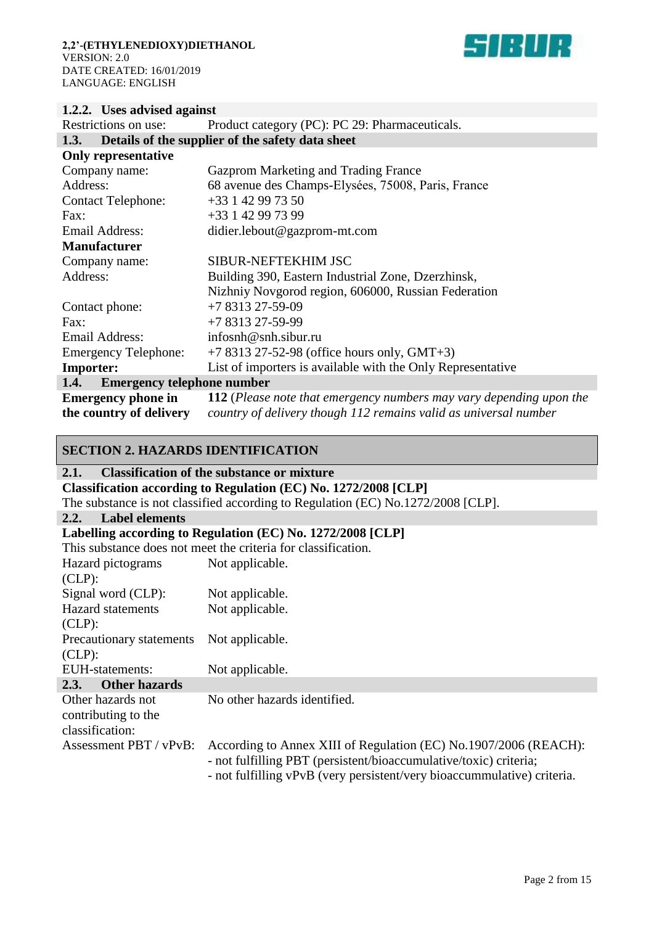

## **1.2.2. Uses advised against**

| Restrictions on use:                                 | Product category (PC): PC 29: Pharmaceuticals.                                                                                          |  |
|------------------------------------------------------|-----------------------------------------------------------------------------------------------------------------------------------------|--|
| 1.3.                                                 | Details of the supplier of the safety data sheet                                                                                        |  |
| <b>Only representative</b>                           |                                                                                                                                         |  |
| Company name:                                        | Gazprom Marketing and Trading France                                                                                                    |  |
| Address:                                             | 68 avenue des Champs-Elysées, 75008, Paris, France                                                                                      |  |
| <b>Contact Telephone:</b>                            | $+33142997350$                                                                                                                          |  |
| Fax:                                                 | +33 1 42 99 73 99                                                                                                                       |  |
| Email Address:                                       | didier.lebout@gazprom-mt.com                                                                                                            |  |
| <b>Manufacturer</b>                                  |                                                                                                                                         |  |
| Company name:                                        | SIBUR-NEFTEKHIM JSC                                                                                                                     |  |
| Address:                                             | Building 390, Eastern Industrial Zone, Dzerzhinsk,                                                                                      |  |
|                                                      | Nizhniy Novgorod region, 606000, Russian Federation                                                                                     |  |
| Contact phone:                                       | $+7831327-59-09$                                                                                                                        |  |
| Fax:                                                 | +7 8313 27-59-99                                                                                                                        |  |
| Email Address:                                       | infosnh@snh.sibur.ru                                                                                                                    |  |
| <b>Emergency Telephone:</b>                          | $+7831327-52-98$ (office hours only, GMT+3)                                                                                             |  |
| <b>Importer:</b>                                     | List of importers is available with the Only Representative                                                                             |  |
| <b>Emergency telephone number</b><br>1.4.            |                                                                                                                                         |  |
| <b>Emergency phone in</b><br>the country of delivery | 112 (Please note that emergency numbers may vary depending upon the<br>country of delivery though 112 remains valid as universal number |  |

## **SECTION 2. HAZARDS IDENTIFICATION**

## **2.1. Classification of the substance or mixture**

**Classification according to Regulation (EC) No. 1272/2008 [CLP])**

The substance is not classified according to Regulation (EC) No.1272/2008 [CLP].

### **2.2. Label elements**

I

## **Labelling according to Regulation (EC) No. 1272/2008 [CLP]**

|                              | This substance does not meet the criteria for classification.                                                                         |  |  |
|------------------------------|---------------------------------------------------------------------------------------------------------------------------------------|--|--|
| Hazard pictograms            | Not applicable.                                                                                                                       |  |  |
| $CLP)$ :                     |                                                                                                                                       |  |  |
| Signal word (CLP):           | Not applicable.                                                                                                                       |  |  |
| <b>Hazard</b> statements     | Not applicable.                                                                                                                       |  |  |
| $CLP)$ :                     |                                                                                                                                       |  |  |
| Precautionary statements     | Not applicable.                                                                                                                       |  |  |
| $CLP$ :                      |                                                                                                                                       |  |  |
| EUH-statements:              | Not applicable.                                                                                                                       |  |  |
| 2.3.<br><b>Other hazards</b> |                                                                                                                                       |  |  |
| Other hazards not            | No other hazards identified.                                                                                                          |  |  |
| contributing to the          |                                                                                                                                       |  |  |
| classification:              |                                                                                                                                       |  |  |
| Assessment PBT / vPvB:       | According to Annex XIII of Regulation (EC) No.1907/2006 (REACH):<br>- not fulfilling PBT (persistent/bioaccumulative/toxic) criteria; |  |  |

- not fulfilling vPvB (very persistent/very bioaccummulative) criteria.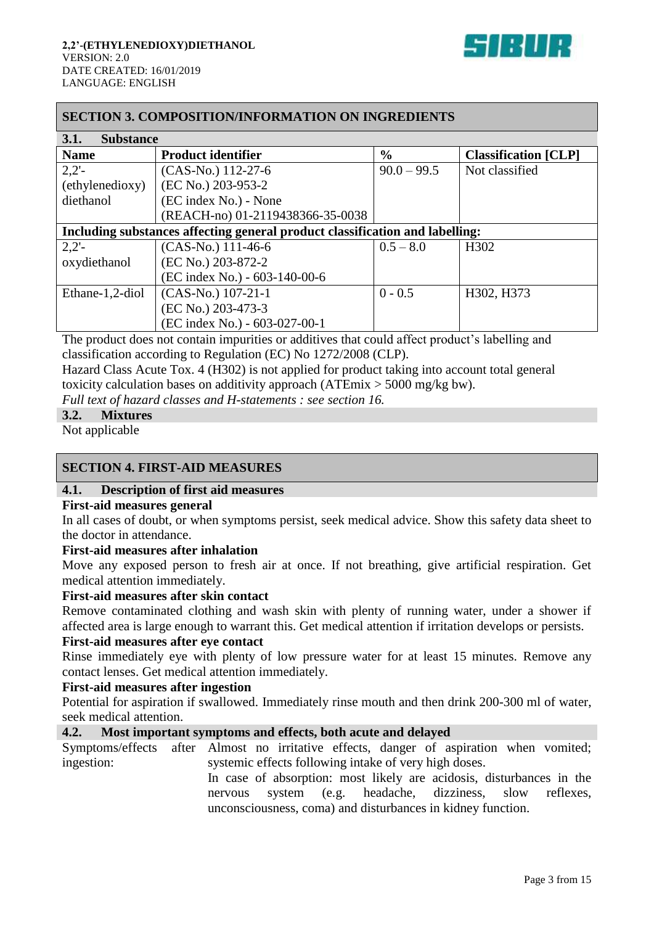

## **SECTION 3. COMPOSITION/INFORMATION ON INGREDIENTS**

| 3.1.<br><b>Substance</b> |                                                                              |               |                             |
|--------------------------|------------------------------------------------------------------------------|---------------|-----------------------------|
| <b>Name</b>              | <b>Product identifier</b>                                                    | $\frac{6}{6}$ | <b>Classification</b> [CLP] |
| $2,2'$ -                 | (CAS-No.) 112-27-6                                                           | $90.0 - 99.5$ | Not classified              |
| (ethylenedioxy)          | (EC No.) 203-953-2                                                           |               |                             |
| diethanol                | (EC index No.) - None                                                        |               |                             |
|                          | (REACH-no) 01-2119438366-35-0038                                             |               |                             |
|                          | Including substances affecting general product classification and labelling: |               |                             |
| $2,2'$ -                 | (CAS-No.) 111-46-6                                                           | $0.5 - 8.0$   | H302                        |
| oxydiethanol             | (EC No.) 203-872-2                                                           |               |                             |
|                          | (EC index No.) - 603-140-00-6                                                |               |                             |
| Ethane-1,2-diol          | (CAS-No.) 107-21-1                                                           | $0 - 0.5$     | H302, H373                  |
|                          | (EC No.) 203-473-3                                                           |               |                             |
|                          | (EC index No.) - 603-027-00-1                                                |               |                             |

The product does not contain impurities or additives that could affect product's labelling and classification according to Regulation (EC) No 1272/2008 (CLP).

Hazard Class Acute Tox. 4 (H302) is not applied for product taking into account total general toxicity calculation bases on additivity approach (ATEmix > 5000 mg/kg bw).

*Full text of hazard classes and H-statements : see section 16.*

#### **3.2. Mixtures**

Not applicable

## **SECTION 4. FIRST-AID MEASURES**

#### **4.1. Description of first aid measures**

#### **First-aid measures general**

In all cases of doubt, or when symptoms persist, seek medical advice. Show this safety data sheet to the doctor in attendance.

## **First-aid measures after inhalation**

Move any exposed person to fresh air at once. If not breathing, give artificial respiration. Get medical attention immediately.

## **First-aid measures after skin contact**

Remove contaminated clothing and wash skin with plenty of running water, under a shower if affected area is large enough to warrant this. Get medical attention if irritation develops or persists.

#### **First-aid measures after eye contact**

Rinse immediately eye with plenty of low pressure water for at least 15 minutes. Remove any contact lenses. Get medical attention immediately.

#### **First-aid measures after ingestion**

Potential for aspiration if swallowed. Immediately rinse mouth and then drink 200-300 ml of water, seek medical attention.

## **4.2. Most important symptoms and effects, both acute and delayed**

Symptoms/effects after Almost no irritative effects, danger of aspiration when vomited; ingestion: systemic effects following intake of very high doses.

> In case of absorption: most likely are acidosis, disturbances in the nervous system (e.g. headache, dizziness, slow reflexes, unconsciousness, coma) and disturbances in kidney function.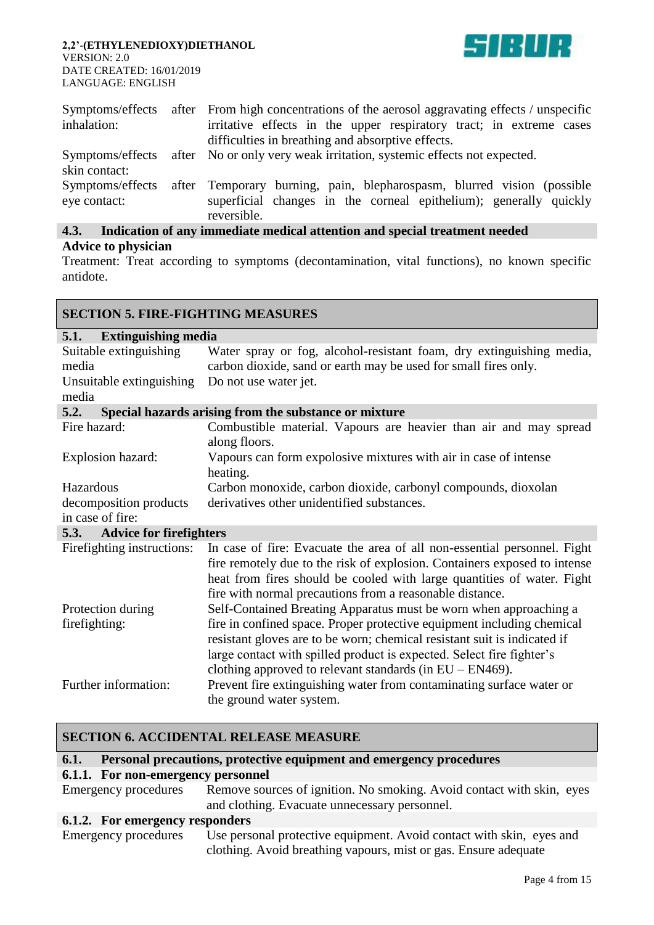

| Symptoms/effects                 | after From high concentrations of the aerosol aggravating effects / unspecific                                                                             |  |  |
|----------------------------------|------------------------------------------------------------------------------------------------------------------------------------------------------------|--|--|
| inhalation:                      | irritative effects in the upper respiratory tract; in extreme cases                                                                                        |  |  |
|                                  | difficulties in breathing and absorptive effects.                                                                                                          |  |  |
|                                  | Symptoms/effects after No or only very weak irritation, systemic effects not expected.                                                                     |  |  |
| skin contact:                    |                                                                                                                                                            |  |  |
| Symptoms/effects<br>eye contact: | after Temporary burning, pain, blepharospasm, blurred vision (possible<br>superficial changes in the corneal epithelium); generally quickly<br>reversible. |  |  |

## **4.3. Indication of any immediate medical attention and special treatment needed Advice to physician**

Treatment: Treat according to symptoms (decontamination, vital functions), no known specific antidote.

| <b>SECTION 5. FIRE-FIGHTING MEASURES</b> |                                                                                                                                                                                                                                                                                             |  |  |
|------------------------------------------|---------------------------------------------------------------------------------------------------------------------------------------------------------------------------------------------------------------------------------------------------------------------------------------------|--|--|
| <b>Extinguishing media</b><br>5.1.       |                                                                                                                                                                                                                                                                                             |  |  |
| Suitable extinguishing<br>media          | Water spray or fog, alcohol-resistant foam, dry extinguishing media,<br>carbon dioxide, sand or earth may be used for small fires only.                                                                                                                                                     |  |  |
| Unsuitable extinguishing<br>media        | Do not use water jet.                                                                                                                                                                                                                                                                       |  |  |
| 5.2.                                     | Special hazards arising from the substance or mixture                                                                                                                                                                                                                                       |  |  |
| Fire hazard:                             | Combustible material. Vapours are heavier than air and may spread<br>along floors.                                                                                                                                                                                                          |  |  |
| Explosion hazard:                        | Vapours can form expolosive mixtures with air in case of intense<br>heating.                                                                                                                                                                                                                |  |  |
| Hazardous                                | Carbon monoxide, carbon dioxide, carbonyl compounds, dioxolan                                                                                                                                                                                                                               |  |  |
| decomposition products                   | derivatives other unidentified substances.                                                                                                                                                                                                                                                  |  |  |
| in case of fire:                         |                                                                                                                                                                                                                                                                                             |  |  |
| <b>Advice for firefighters</b><br>5.3.   |                                                                                                                                                                                                                                                                                             |  |  |
| Firefighting instructions:               | In case of fire: Evacuate the area of all non-essential personnel. Fight<br>fire remotely due to the risk of explosion. Containers exposed to intense<br>heat from fires should be cooled with large quantities of water. Fight<br>fire with normal precautions from a reasonable distance. |  |  |
| Protection during                        | Self-Contained Breating Apparatus must be worn when approaching a                                                                                                                                                                                                                           |  |  |
| firefighting:                            | fire in confined space. Proper protective equipment including chemical<br>resistant gloves are to be worn; chemical resistant suit is indicated if<br>large contact with spilled product is expected. Select fire fighter's<br>clothing approved to relevant standards (in $EU - EN469$ ).  |  |  |
| Further information:                     | Prevent fire extinguishing water from contaminating surface water or<br>the ground water system.                                                                                                                                                                                            |  |  |

## **SECTION 6. ACCIDENTAL RELEASE MEASURE**

## **6.1. Personal precautions, protective equipment and emergency procedures**

## **6.1.1. For non-emergency personnel**

Emergency procedures Remove sources of ignition. No smoking. Avoid contact with skin, eyes and clothing. Evacuate unnecessary personnel.

#### **6.1.2. For emergency responders**

Emergency procedures Use personal protective equipment. Avoid contact with skin, eyes and clothing. Avoid breathing vapours, mist or gas. Ensure adequate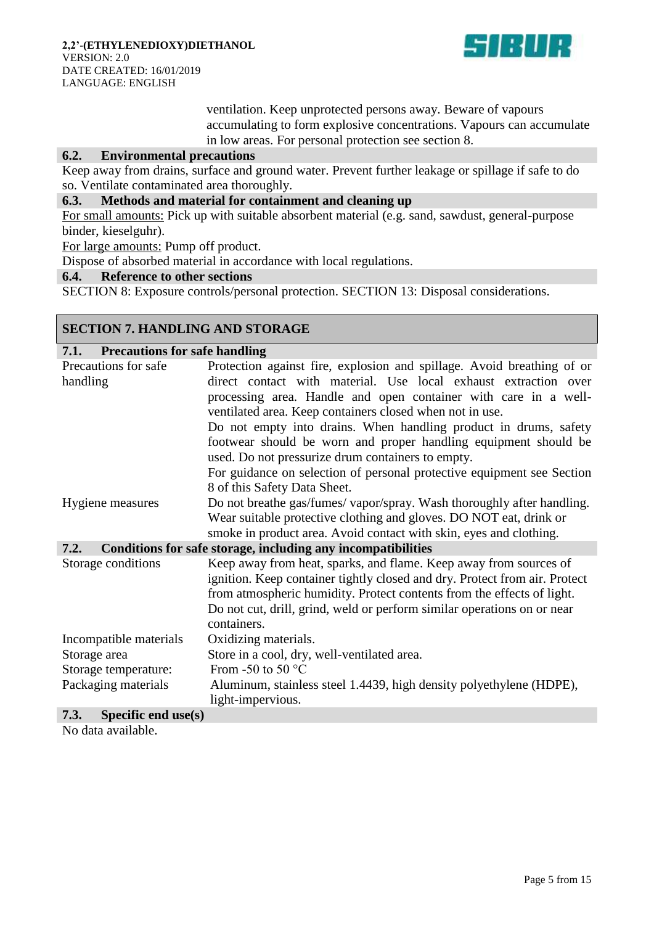

ventilation. Keep unprotected persons away. Beware of vapours accumulating to form explosive concentrations. Vapours can accumulate in low areas. For personal protection see section 8.

## **6.2. Environmental precautions**

Keep away from drains, surface and ground water. Prevent further leakage or spillage if safe to do so. Ventilate contaminated area thoroughly.

## **6.3. Methods and material for containment and cleaning up**

For small amounts: Pick up with suitable absorbent material (e.g. sand, sawdust, general-purpose binder, kieselguhr).

For large amounts: Pump off product.

Dispose of absorbed material in accordance with local regulations.

#### **6.4. Reference to other sections**

SECTION 8: Exposure controls/personal protection. SECTION 13: Disposal considerations.

## **SECTION 7. HANDLING AND STORAGE**

| <b>Precautions for safe handling</b><br>7.1. |                                                                            |  |  |
|----------------------------------------------|----------------------------------------------------------------------------|--|--|
| Precautions for safe                         | Protection against fire, explosion and spillage. Avoid breathing of or     |  |  |
| handling                                     | direct contact with material. Use local exhaust extraction over            |  |  |
|                                              | processing area. Handle and open container with care in a well-            |  |  |
|                                              | ventilated area. Keep containers closed when not in use.                   |  |  |
|                                              | Do not empty into drains. When handling product in drums, safety           |  |  |
|                                              | footwear should be worn and proper handling equipment should be            |  |  |
|                                              | used. Do not pressurize drum containers to empty.                          |  |  |
|                                              | For guidance on selection of personal protective equipment see Section     |  |  |
|                                              | 8 of this Safety Data Sheet.                                               |  |  |
| Hygiene measures                             | Do not breathe gas/fumes/ vapor/spray. Wash thoroughly after handling.     |  |  |
|                                              | Wear suitable protective clothing and gloves. DO NOT eat, drink or         |  |  |
|                                              | smoke in product area. Avoid contact with skin, eyes and clothing.         |  |  |
| 7.2.                                         | Conditions for safe storage, including any incompatibilities               |  |  |
| Storage conditions                           | Keep away from heat, sparks, and flame. Keep away from sources of          |  |  |
|                                              | ignition. Keep container tightly closed and dry. Protect from air. Protect |  |  |
|                                              | from atmospheric humidity. Protect contents from the effects of light.     |  |  |
|                                              | Do not cut, drill, grind, weld or perform similar operations on or near    |  |  |
|                                              | containers.                                                                |  |  |
| Incompatible materials                       | Oxidizing materials.                                                       |  |  |
| Storage area                                 | Store in a cool, dry, well-ventilated area.                                |  |  |
| Storage temperature:                         | From -50 to 50 $\degree$ C                                                 |  |  |
| Packaging materials                          | Aluminum, stainless steel 1.4439, high density polyethylene (HDPE),        |  |  |
|                                              | light-impervious.                                                          |  |  |
| 7.3.<br>Specific end use(s)                  |                                                                            |  |  |

No data available.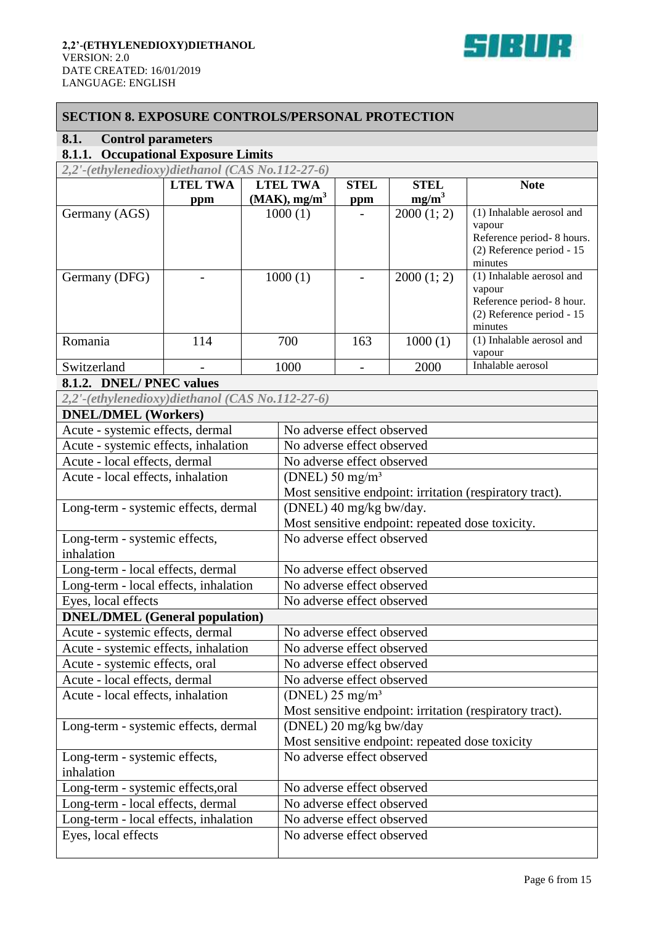

## **SECTION 8. EXPOSURE CONTROLS/PERSONAL PROTECTION**

# **8.1. Control parameters**

# **8.1.1. Occupational Exposure Limits**

| $2,2'$ -(ethylenedioxy)diethanol (CAS No.112-27-6) |                 |                             |             |             |                           |
|----------------------------------------------------|-----------------|-----------------------------|-------------|-------------|---------------------------|
|                                                    | <b>LTEL TWA</b> | <b>LTEL TWA</b>             | <b>STEL</b> | <b>STEL</b> | <b>Note</b>               |
|                                                    | ppm             | $(MAK)$ , mg/m <sup>3</sup> | ppm         | $mg/m^3$    |                           |
| Germany (AGS)                                      |                 | 1000(1)                     |             | 2000(1; 2)  | (1) Inhalable aerosol and |
|                                                    |                 |                             |             |             | vapour                    |
|                                                    |                 |                             |             |             | Reference period-8 hours. |
|                                                    |                 |                             |             |             | (2) Reference period - 15 |
|                                                    |                 |                             |             |             | minutes                   |
| Germany (DFG)                                      |                 | 1000(1)                     |             | 2000(1; 2)  | (1) Inhalable aerosol and |
|                                                    |                 |                             |             |             | vapour                    |
|                                                    |                 |                             |             |             | Reference period-8 hour.  |
|                                                    |                 |                             |             |             | (2) Reference period - 15 |
|                                                    |                 |                             |             |             | minutes                   |
| Romania                                            | 114             | 700                         | 163         | 1000(1)     | (1) Inhalable aerosol and |
|                                                    |                 |                             |             |             | vapour                    |
| Switzerland                                        |                 | 1000                        |             | 2000        | Inhalable aerosol         |

## **8.1.2. DNEL/ PNEC values**

*2,2'-(ethylenedioxy)diethanol (CAS No.112-27-6)*

| <b>DNEL/DMEL (Workers)</b>            |                                                          |
|---------------------------------------|----------------------------------------------------------|
| Acute - systemic effects, dermal      | No adverse effect observed                               |
| Acute - systemic effects, inhalation  | No adverse effect observed                               |
| Acute - local effects, dermal         | No adverse effect observed                               |
| Acute - local effects, inhalation     | (DNEL) $50 \text{ mg/m}^3$                               |
|                                       | Most sensitive endpoint: irritation (respiratory tract). |
| Long-term - systemic effects, dermal  | (DNEL) 40 mg/kg bw/day.                                  |
|                                       | Most sensitive endpoint: repeated dose toxicity.         |
| Long-term - systemic effects,         | No adverse effect observed                               |
| inhalation                            |                                                          |
| Long-term - local effects, dermal     | No adverse effect observed                               |
| Long-term - local effects, inhalation | No adverse effect observed                               |
| Eyes, local effects                   | No adverse effect observed                               |
| <b>DNEL/DMEL</b> (General population) |                                                          |
| Acute - systemic effects, dermal      | No adverse effect observed                               |
| Acute - systemic effects, inhalation  | No adverse effect observed                               |
| Acute - systemic effects, oral        | No adverse effect observed                               |
| Acute - local effects, dermal         | No adverse effect observed                               |
| Acute - local effects, inhalation     | (DNEL) $25 \text{ mg/m}^3$                               |
|                                       | Most sensitive endpoint: irritation (respiratory tract). |
| Long-term - systemic effects, dermal  | (DNEL) 20 mg/kg bw/day                                   |
|                                       | Most sensitive endpoint: repeated dose toxicity          |
| Long-term - systemic effects,         | No adverse effect observed                               |
| inhalation                            |                                                          |
| Long-term - systemic effects, oral    | No adverse effect observed                               |
| Long-term - local effects, dermal     | No adverse effect observed                               |
| Long-term - local effects, inhalation | No adverse effect observed                               |
| Eyes, local effects                   | No adverse effect observed                               |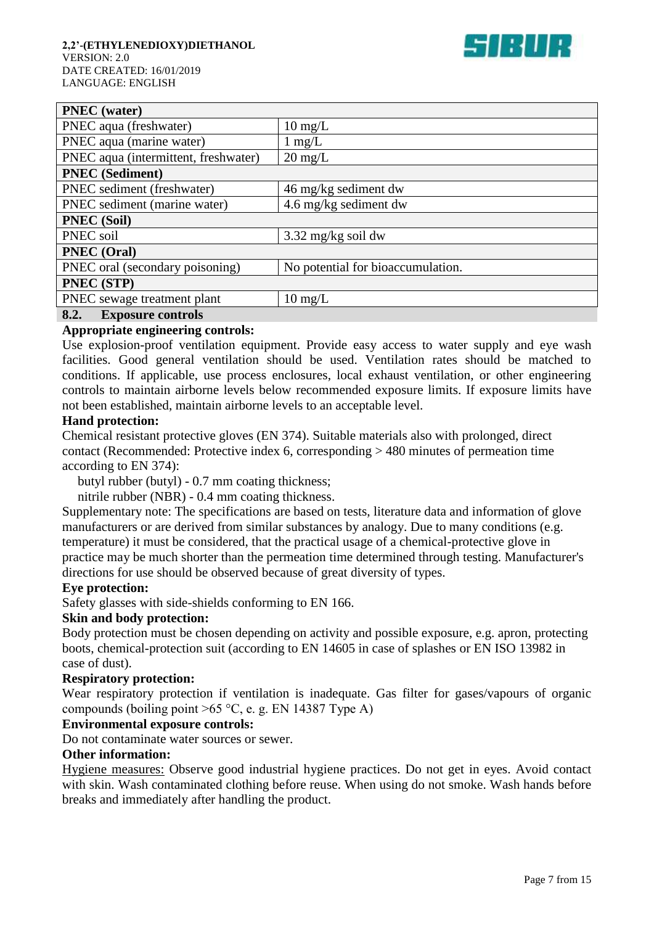

| <b>PNEC</b> (water)                  |                                   |
|--------------------------------------|-----------------------------------|
| PNEC aqua (freshwater)               | $10 \text{ mg/L}$                 |
| PNEC aqua (marine water)             | $1 \text{ mg/L}$                  |
| PNEC aqua (intermittent, freshwater) | $20 \text{ mg/L}$                 |
| <b>PNEC</b> (Sediment)               |                                   |
| PNEC sediment (freshwater)           | 46 mg/kg sediment dw              |
| PNEC sediment (marine water)         | 4.6 mg/kg sediment dw             |
| <b>PNEC</b> (Soil)                   |                                   |
| PNEC soil                            | $3.32 \text{ mg/kg}$ soil dw      |
| PNEC (Oral)                          |                                   |
| PNEC oral (secondary poisoning)      | No potential for bioaccumulation. |
| PNEC (STP)                           |                                   |
| PNEC sewage treatment plant          | $10 \text{ mg/L}$                 |
| 8.2.<br><b>Exposure controls</b>     |                                   |

# **Appropriate engineering controls:**

Use explosion-proof ventilation equipment. Provide easy access to water supply and eye wash facilities. Good general ventilation should be used. Ventilation rates should be matched to conditions. If applicable, use process enclosures, local exhaust ventilation, or other engineering controls to maintain airborne levels below recommended exposure limits. If exposure limits have not been established, maintain airborne levels to an acceptable level.

#### **Hand protection:**

Chemical resistant protective gloves (EN 374). Suitable materials also with prolonged, direct contact (Recommended: Protective index 6, corresponding > 480 minutes of permeation time according to EN 374):

butyl rubber (butyl) - 0.7 mm coating thickness;

nitrile rubber (NBR) - 0.4 mm coating thickness.

Supplementary note: The specifications are based on tests, literature data and information of glove manufacturers or are derived from similar substances by analogy. Due to many conditions (e.g. temperature) it must be considered, that the practical usage of a chemical-protective glove in practice may be much shorter than the permeation time determined through testing. Manufacturer's directions for use should be observed because of great diversity of types.

#### **Eye protection:**

Safety glasses with side-shields conforming to EN 166.

#### **Skin and body protection:**

Body protection must be chosen depending on activity and possible exposure, e.g. apron, protecting boots, chemical-protection suit (according to EN 14605 in case of splashes or EN ISO 13982 in case of dust).

#### **Respiratory protection:**

Wear respiratory protection if ventilation is inadequate. Gas filter for gases/vapours of organic compounds (boiling point  $>65 °C$ , e. g. EN 14387 Type A)

#### **Environmental exposure controls:**

Do not contaminate water sources or sewer.

#### **Other information:**

Hygiene measures: Observe good industrial hygiene practices. Do not get in eyes. Avoid contact with skin. Wash contaminated clothing before reuse. When using do not smoke. Wash hands before breaks and immediately after handling the product.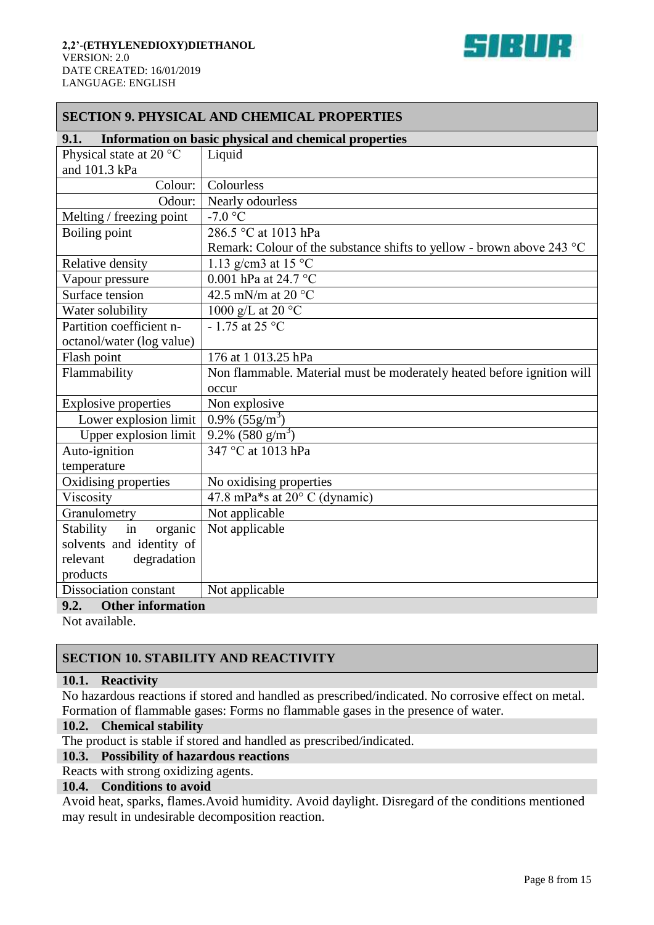

## **SECTION 9. PHYSICAL AND CHEMICAL PROPERTIES**

| 9.1.                             | Information on basic physical and chemical properties                  |  |
|----------------------------------|------------------------------------------------------------------------|--|
| Physical state at 20 °C          | Liquid                                                                 |  |
| and 101.3 kPa                    |                                                                        |  |
| Colour:                          | Colourless                                                             |  |
| Odour:                           | Nearly odourless                                                       |  |
| Melting / freezing point         | $-7.0$ °C                                                              |  |
| Boiling point                    | 286.5 °C at 1013 hPa                                                   |  |
|                                  | Remark: Colour of the substance shifts to yellow - brown above 243 °C  |  |
| Relative density                 | 1.13 g/cm3 at 15 $^{\circ}$ C                                          |  |
| Vapour pressure                  | 0.001 hPa at 24.7 °C                                                   |  |
| Surface tension                  | 42.5 mN/m at 20 °C                                                     |  |
| Water solubility                 | 1000 g/L at 20 $\degree$ C                                             |  |
| Partition coefficient n-         | $-1.75$ at 25 °C                                                       |  |
| octanol/water (log value)        |                                                                        |  |
| Flash point                      | 176 at 1 013.25 hPa                                                    |  |
| Flammability                     | Non flammable. Material must be moderately heated before ignition will |  |
|                                  | occur                                                                  |  |
| <b>Explosive properties</b>      | Non explosive                                                          |  |
| Lower explosion limit            | $0.9\%$ (55g/m <sup>3</sup> )                                          |  |
| Upper explosion limit            | $9.2\%$ (580 g/m <sup>3</sup> )                                        |  |
| Auto-ignition                    | 347 °C at 1013 hPa                                                     |  |
| temperature                      |                                                                        |  |
| Oxidising properties             | No oxidising properties                                                |  |
| Viscosity                        | 47.8 mPa*s at 20° C (dynamic)                                          |  |
| Granulometry                     | Not applicable                                                         |  |
| Stability<br>in<br>organic       | Not applicable                                                         |  |
| solvents and identity of         |                                                                        |  |
| relevant<br>degradation          |                                                                        |  |
| products                         |                                                                        |  |
| Dissociation constant            | Not applicable                                                         |  |
| 9.2.<br><b>Other information</b> |                                                                        |  |

Not available.

## **SECTION 10. STABILITY AND REACTIVITY**

#### **10.1. Reactivity**

No hazardous reactions if stored and handled as prescribed/indicated. No corrosive effect on metal. Formation of flammable gases: Forms no flammable gases in the presence of water.

#### **10.2. Chemical stability**

The product is stable if stored and handled as prescribed/indicated.

#### **10.3. Possibility of hazardous reactions**

Reacts with strong oxidizing agents.

#### **10.4. Conditions to avoid**

Avoid heat, sparks, flames.Avoid humidity. Avoid daylight. Disregard of the conditions mentioned may result in undesirable decomposition reaction.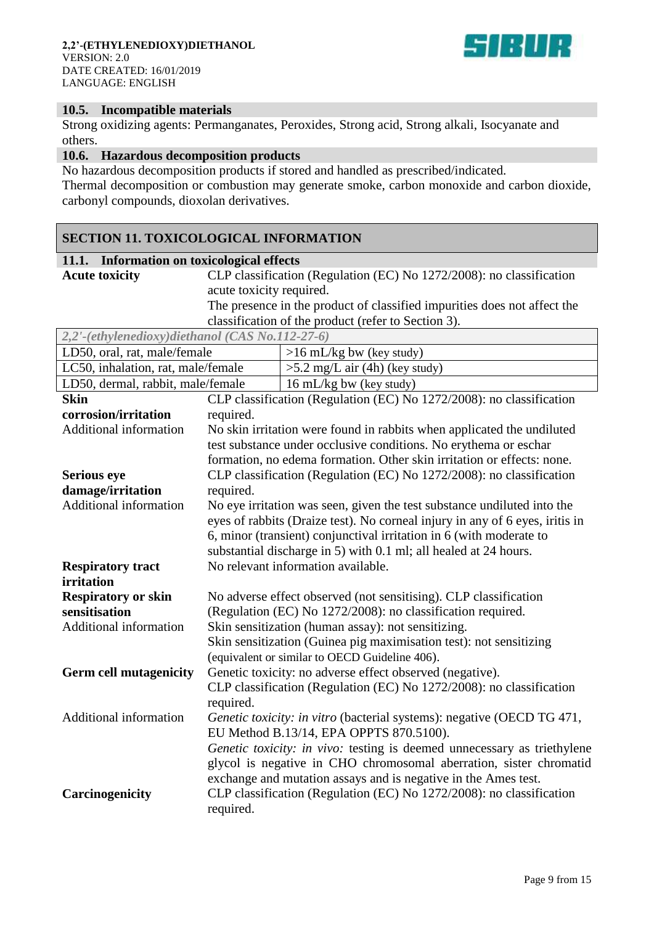

#### **10.5. Incompatible materials**

Strong oxidizing agents: Permanganates, Peroxides, Strong acid, Strong alkali, Isocyanate and others.

## **10.6. Hazardous decomposition products**

No hazardous decomposition products if stored and handled as prescribed/indicated. Thermal decomposition or combustion may generate smoke, carbon monoxide and carbon dioxide, carbonyl compounds, dioxolan derivatives.

## **SECTION 11. TOXICOLOGICAL INFORMATION**

#### **11.1. Information on toxicological effects**

**Acute toxicity** CLP classification (Regulation (EC) No 1272/2008): no classification acute toxicity required.

The presence in the product of classified impurities does not affect the classification of the product (refer to Section 3).

| 2,2'-(ethylenedioxy)diethanol (CAS No.112-27-6) |                                                                                                                          |                                                                                                            |  |  |
|-------------------------------------------------|--------------------------------------------------------------------------------------------------------------------------|------------------------------------------------------------------------------------------------------------|--|--|
| LD50, oral, rat, male/female                    |                                                                                                                          | $>16$ mL/kg bw (key study)                                                                                 |  |  |
| LC50, inhalation, rat, male/female              |                                                                                                                          | $>5.2$ mg/L air (4h) (key study)                                                                           |  |  |
| LD50, dermal, rabbit, male/female               |                                                                                                                          | 16 mL/kg bw (key study)                                                                                    |  |  |
| <b>Skin</b>                                     |                                                                                                                          | CLP classification (Regulation (EC) No 1272/2008): no classification                                       |  |  |
| corrosion/irritation                            | required.                                                                                                                |                                                                                                            |  |  |
| Additional information                          |                                                                                                                          | No skin irritation were found in rabbits when applicated the undiluted                                     |  |  |
|                                                 |                                                                                                                          | test substance under occlusive conditions. No erythema or eschar                                           |  |  |
|                                                 |                                                                                                                          | formation, no edema formation. Other skin irritation or effects: none.                                     |  |  |
| <b>Serious eye</b>                              |                                                                                                                          | CLP classification (Regulation (EC) No 1272/2008): no classification                                       |  |  |
| damage/irritation                               | required.                                                                                                                |                                                                                                            |  |  |
| <b>Additional information</b>                   |                                                                                                                          | No eye irritation was seen, given the test substance undiluted into the                                    |  |  |
|                                                 |                                                                                                                          | eyes of rabbits (Draize test). No corneal injury in any of 6 eyes, iritis in                               |  |  |
|                                                 |                                                                                                                          | 6, minor (transient) conjunctival irritation in 6 (with moderate to                                        |  |  |
|                                                 |                                                                                                                          | substantial discharge in 5) with 0.1 ml; all healed at 24 hours.                                           |  |  |
| <b>Respiratory tract</b>                        |                                                                                                                          | No relevant information available.                                                                         |  |  |
| irritation                                      |                                                                                                                          |                                                                                                            |  |  |
| <b>Respiratory or skin</b>                      | No adverse effect observed (not sensitising). CLP classification                                                         |                                                                                                            |  |  |
| sensitisation                                   | (Regulation (EC) No 1272/2008): no classification required.                                                              |                                                                                                            |  |  |
| Additional information                          | Skin sensitization (human assay): not sensitizing.<br>Skin sensitization (Guinea pig maximisation test): not sensitizing |                                                                                                            |  |  |
|                                                 |                                                                                                                          |                                                                                                            |  |  |
| <b>Germ cell mutagenicity</b>                   |                                                                                                                          | (equivalent or similar to OECD Guideline 406).<br>Genetic toxicity: no adverse effect observed (negative). |  |  |
|                                                 |                                                                                                                          | CLP classification (Regulation (EC) No 1272/2008): no classification                                       |  |  |
|                                                 | required.                                                                                                                |                                                                                                            |  |  |
| Additional information                          |                                                                                                                          | Genetic toxicity: in vitro (bacterial systems): negative (OECD TG 471,                                     |  |  |
|                                                 |                                                                                                                          | EU Method B.13/14, EPA OPPTS 870.5100).                                                                    |  |  |
|                                                 |                                                                                                                          | Genetic toxicity: in vivo: testing is deemed unnecessary as triethylene                                    |  |  |
|                                                 |                                                                                                                          | glycol is negative in CHO chromosomal aberration, sister chromatid                                         |  |  |
|                                                 |                                                                                                                          | exchange and mutation assays and is negative in the Ames test.                                             |  |  |
| Carcinogenicity                                 |                                                                                                                          | CLP classification (Regulation (EC) No 1272/2008): no classification                                       |  |  |
|                                                 | required.                                                                                                                |                                                                                                            |  |  |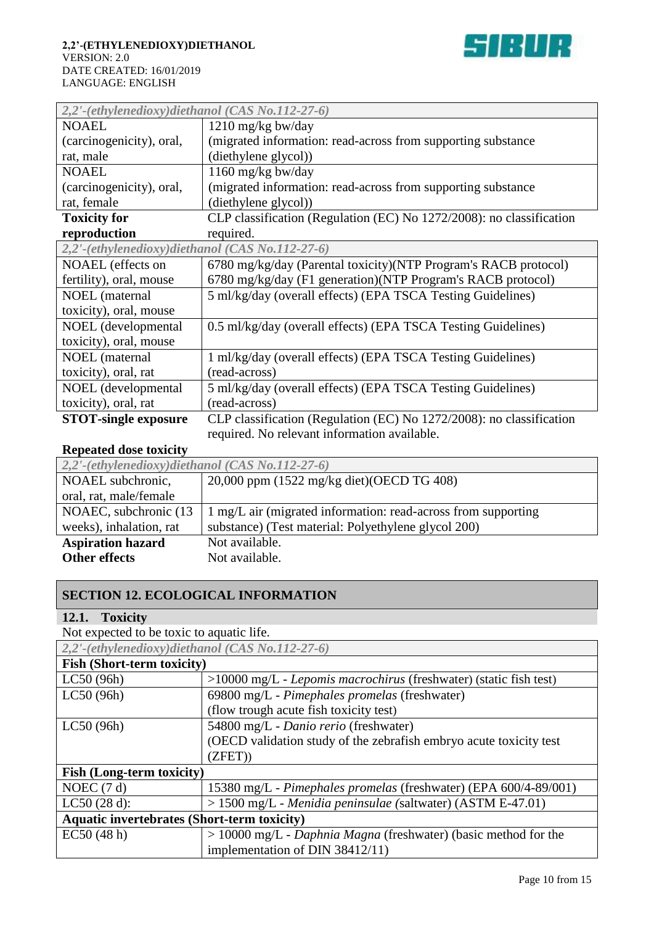

| 2,2'-(ethylenedioxy)diethanol (CAS No.112-27-6) |                                                                      |  |  |
|-------------------------------------------------|----------------------------------------------------------------------|--|--|
| <b>NOAEL</b>                                    | 1210 mg/kg bw/day                                                    |  |  |
| (carcinogenicity), oral,                        | (migrated information: read-across from supporting substance         |  |  |
| rat, male                                       | (diethylene glycol))                                                 |  |  |
| <b>NOAEL</b>                                    | 1160 mg/kg bw/day                                                    |  |  |
| (carcinogenicity), oral,                        | (migrated information: read-across from supporting substance         |  |  |
| rat, female                                     | (diethylene glycol))                                                 |  |  |
| <b>Toxicity for</b>                             | CLP classification (Regulation (EC) No 1272/2008): no classification |  |  |
| reproduction                                    | required.                                                            |  |  |
| 2,2'-(ethylenedioxy)diethanol (CAS No.112-27-6) |                                                                      |  |  |
| NOAEL (effects on                               | 6780 mg/kg/day (Parental toxicity)(NTP Program's RACB protocol)      |  |  |
| fertility), oral, mouse                         | 6780 mg/kg/day (F1 generation) (NTP Program's RACB protocol)         |  |  |
| <b>NOEL</b> (maternal                           | 5 ml/kg/day (overall effects) (EPA TSCA Testing Guidelines)          |  |  |
| toxicity), oral, mouse                          |                                                                      |  |  |
| NOEL (developmental                             | 0.5 ml/kg/day (overall effects) (EPA TSCA Testing Guidelines)        |  |  |
| toxicity), oral, mouse                          |                                                                      |  |  |
| <b>NOEL</b> (maternal                           | 1 ml/kg/day (overall effects) (EPA TSCA Testing Guidelines)          |  |  |
| toxicity), oral, rat                            | (read-across)                                                        |  |  |
| NOEL (developmental                             | 5 ml/kg/day (overall effects) (EPA TSCA Testing Guidelines)          |  |  |
| toxicity), oral, rat                            | (read-across)                                                        |  |  |
| <b>STOT-single exposure</b>                     | CLP classification (Regulation (EC) No 1272/2008): no classification |  |  |
|                                                 | required. No relevant information available.                         |  |  |

## **Repeated dose toxicity**

| $2,2'$ -(ethylenedioxy)diethanol (CAS No.112-27-6) |                                                                |  |
|----------------------------------------------------|----------------------------------------------------------------|--|
| NOAEL subchronic,                                  | 20,000 ppm (1522 mg/kg diet)(OECD TG 408)                      |  |
| oral, rat, male/female                             |                                                                |  |
| NOAEC, subchronic (13)                             | 1 mg/L air (migrated information: read-across from supporting) |  |
| weeks), inhalation, rat                            | substance) (Test material: Polyethylene glycol 200)            |  |
| <b>Aspiration hazard</b>                           | Not available.                                                 |  |
| <b>Other effects</b>                               | Not available.                                                 |  |

## **SECTION 12. ECOLOGICAL INFORMATION**

## **12.1. Toxicity**

Not expected to be toxic to aquatic life. *2,2'-(ethylenedioxy)diethanol (CAS No.112-27-6)*

| <b>Fish (Short-term toxicity)</b><br>LC50(96h)<br>$>10000$ mg/L - Lepomis macrochirus (freshwater) (static fish test)<br>69800 mg/L - Pimephales promelas (freshwater)<br>LC50(96h)<br>(flow trough acute fish toxicity test) |  |  |
|-------------------------------------------------------------------------------------------------------------------------------------------------------------------------------------------------------------------------------|--|--|
|                                                                                                                                                                                                                               |  |  |
|                                                                                                                                                                                                                               |  |  |
|                                                                                                                                                                                                                               |  |  |
|                                                                                                                                                                                                                               |  |  |
| 54800 mg/L - Danio rerio (freshwater)<br>LC50(96h)                                                                                                                                                                            |  |  |
| (OECD validation study of the zebrafish embryo acute toxicity test                                                                                                                                                            |  |  |
| (ZFET)                                                                                                                                                                                                                        |  |  |
| <b>Fish (Long-term toxicity)</b>                                                                                                                                                                                              |  |  |
| NOEC $(7 d)$<br>15380 mg/L - Pimephales promelas (freshwater) (EPA 600/4-89/001)                                                                                                                                              |  |  |
| > 1500 mg/L - Menidia peninsulae (saltwater) (ASTM E-47.01)<br>LC50(28 d):                                                                                                                                                    |  |  |
| <b>Aquatic invertebrates (Short-term toxicity)</b>                                                                                                                                                                            |  |  |
| EC50(48 h)<br>$> 10000$ mg/L - Daphnia Magna (freshwater) (basic method for the                                                                                                                                               |  |  |
| implementation of DIN 38412/11)                                                                                                                                                                                               |  |  |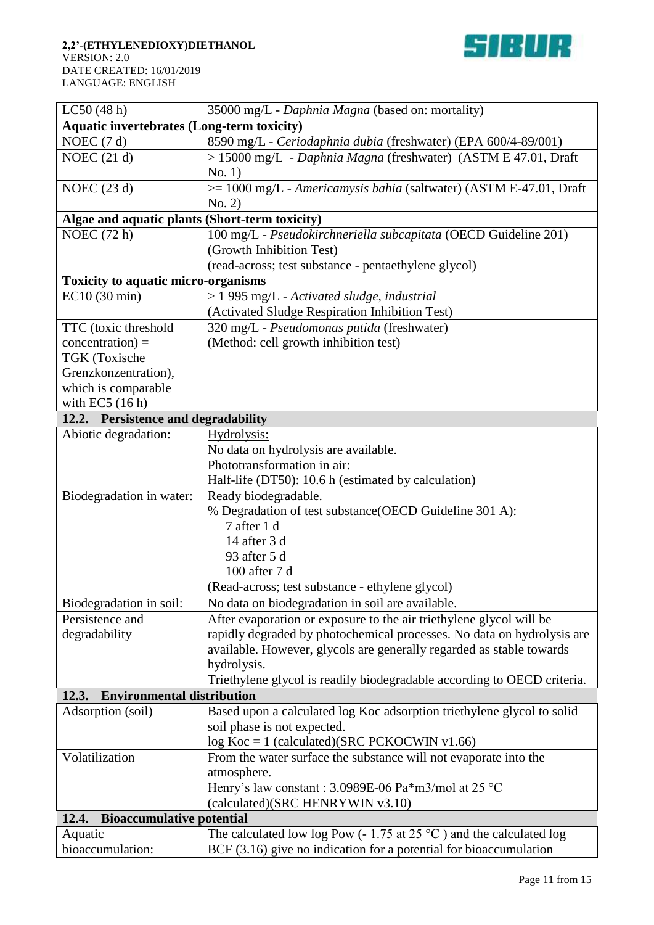

| LC50(48 h)                                        | 35000 mg/L - Daphnia Magna (based on: mortality)                             |  |  |  |
|---------------------------------------------------|------------------------------------------------------------------------------|--|--|--|
| <b>Aquatic invertebrates (Long-term toxicity)</b> |                                                                              |  |  |  |
| NOEC $(7 d)$                                      | 8590 mg/L - Ceriodaphnia dubia (freshwater) (EPA 600/4-89/001)               |  |  |  |
| NOEC $(21 d)$                                     | > 15000 mg/L - Daphnia Magna (freshwater) (ASTM E 47.01, Draft               |  |  |  |
|                                                   | No. 1)                                                                       |  |  |  |
| NOEC $(23 d)$                                     | >= 1000 mg/L - Americamysis bahia (saltwater) (ASTM E-47.01, Draft           |  |  |  |
|                                                   | No. 2)                                                                       |  |  |  |
| Algae and aquatic plants (Short-term toxicity)    |                                                                              |  |  |  |
| NOEC $(72 h)$                                     | 100 mg/L - Pseudokirchneriella subcapitata (OECD Guideline 201)              |  |  |  |
|                                                   | (Growth Inhibition Test)                                                     |  |  |  |
|                                                   | (read-across; test substance - pentaethylene glycol)                         |  |  |  |
| <b>Toxicity to aquatic micro-organisms</b>        |                                                                              |  |  |  |
| EC10 (30 min)                                     | > 1 995 mg/L - Activated sludge, industrial                                  |  |  |  |
|                                                   | (Activated Sludge Respiration Inhibition Test)                               |  |  |  |
| TTC (toxic threshold                              | 320 mg/L - Pseudomonas putida (freshwater)                                   |  |  |  |
| $concentration$ ) =                               | (Method: cell growth inhibition test)                                        |  |  |  |
| TGK (Toxische                                     |                                                                              |  |  |  |
| Grenzkonzentration),                              |                                                                              |  |  |  |
| which is comparable                               |                                                                              |  |  |  |
| with EC5 $(16 h)$                                 |                                                                              |  |  |  |
| 12.2. Persistence and degradability               |                                                                              |  |  |  |
| Abiotic degradation:                              | Hydrolysis:                                                                  |  |  |  |
|                                                   | No data on hydrolysis are available.                                         |  |  |  |
|                                                   | Phototransformation in air:                                                  |  |  |  |
|                                                   | Half-life (DT50): 10.6 h (estimated by calculation)                          |  |  |  |
| Biodegradation in water:                          | Ready biodegradable.                                                         |  |  |  |
|                                                   | % Degradation of test substance (OECD Guideline 301 A):                      |  |  |  |
|                                                   | 7 after 1 d                                                                  |  |  |  |
|                                                   | 14 after 3 d                                                                 |  |  |  |
|                                                   | 93 after 5 d                                                                 |  |  |  |
|                                                   | 100 after 7 d                                                                |  |  |  |
|                                                   | (Read-across; test substance - ethylene glycol)                              |  |  |  |
| Biodegradation in soil:                           | No data on biodegradation in soil are available.                             |  |  |  |
| Persistence and                                   | After evaporation or exposure to the air triethylene glycol will be          |  |  |  |
| degradability                                     | rapidly degraded by photochemical processes. No data on hydrolysis are       |  |  |  |
|                                                   | available. However, glycols are generally regarded as stable towards         |  |  |  |
|                                                   | hydrolysis.                                                                  |  |  |  |
|                                                   | Triethylene glycol is readily biodegradable according to OECD criteria.      |  |  |  |
| <b>Environmental distribution</b><br>12.3.        |                                                                              |  |  |  |
| Adsorption (soil)                                 | Based upon a calculated log Koc adsorption triethylene glycol to solid       |  |  |  |
|                                                   | soil phase is not expected.                                                  |  |  |  |
|                                                   | $log Koc = 1$ (calculated)(SRC PCKOCWIN v1.66)                               |  |  |  |
| Volatilization                                    | From the water surface the substance will not evaporate into the             |  |  |  |
|                                                   | atmosphere.                                                                  |  |  |  |
|                                                   | Henry's law constant : 3.0989E-06 Pa*m3/mol at 25 °C                         |  |  |  |
|                                                   | (calculated)(SRC HENRYWIN v3.10)                                             |  |  |  |
| 12.4.<br><b>Bioaccumulative potential</b>         |                                                                              |  |  |  |
| Aquatic                                           | The calculated low log Pow (-1.75 at 25 $^{\circ}$ C) and the calculated log |  |  |  |
| bioaccumulation:                                  | BCF $(3.16)$ give no indication for a potential for bioaccumulation          |  |  |  |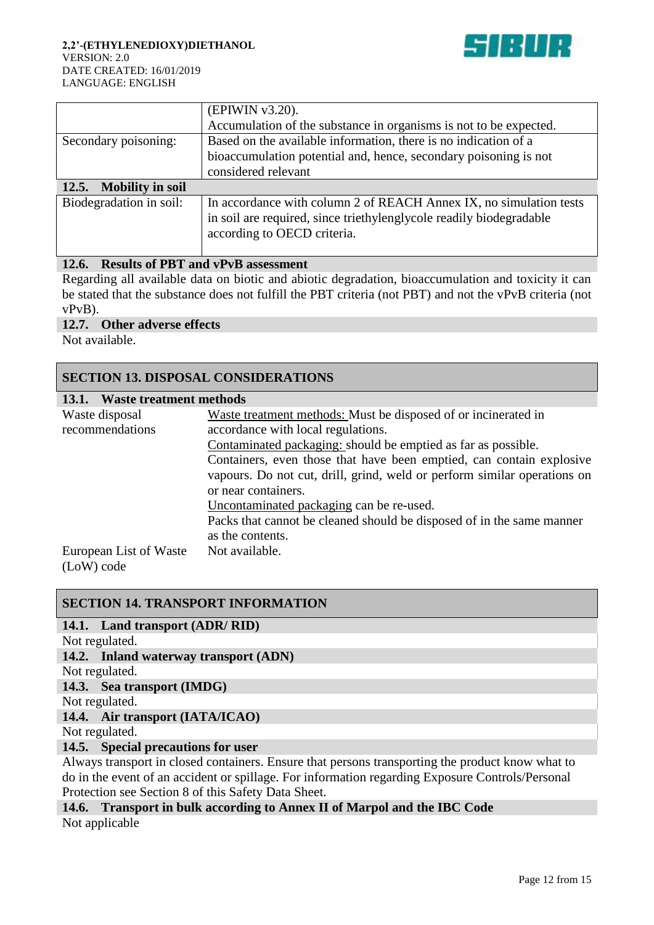

|                                  | (EPIWIN v3.20).                                                   |
|----------------------------------|-------------------------------------------------------------------|
|                                  | Accumulation of the substance in organisms is not to be expected. |
| Secondary poisoning:             | Based on the available information, there is no indication of a   |
|                                  | bioaccumulation potential and, hence, secondary poisoning is not  |
|                                  | considered relevant                                               |
|                                  |                                                                   |
| <b>Mobility in soil</b><br>12.5. |                                                                   |

## **12.6. Results of PBT and vPvB assessment**

Regarding all available data on biotic and abiotic degradation, bioaccumulation and toxicity it can be stated that the substance does not fulfill the PBT criteria (not PBT) and not the vPvB criteria (not vPvB).

#### **12.7. Other adverse effects**

Not available.

## **SECTION 13. DISPOSAL CONSIDERATIONS**

| Waste treatment methods<br>13.1. |                                                                          |
|----------------------------------|--------------------------------------------------------------------------|
| Waste disposal                   | Waste treatment methods: Must be disposed of or incinerated in           |
| recommendations                  | accordance with local regulations.                                       |
|                                  | Contaminated packaging: should be emptied as far as possible.            |
|                                  | Containers, even those that have been emptied, can contain explosive     |
|                                  | vapours. Do not cut, drill, grind, weld or perform similar operations on |
|                                  | or near containers.                                                      |
|                                  | Uncontaminated packaging can be re-used.                                 |
|                                  | Packs that cannot be cleaned should be disposed of in the same manner    |
|                                  | as the contents.                                                         |
| European List of Waste           | Not available.                                                           |
| (LoW) code                       |                                                                          |

## **SECTION 14. TRANSPORT INFORMATION**

#### **14.1. Land transport (ADR/ RID)**

Not regulated.

**14.2. Inland waterway transport (ADN)**

Not regulated.

# **14.3. Sea transport (IMDG)**

Not regulated.

#### **14.4. Air transport (IATA/ICAO)**

Not regulated.

## **14.5. Special precautions for user**

Always transport in closed containers. Ensure that persons transporting the product know what to do in the event of an accident or spillage. For information regarding Exposure Controls/Personal Protection see Section 8 of this Safety Data Sheet.

## **14.6. Transport in bulk according to Annex II of Marpol and the IBC Code**

Not applicable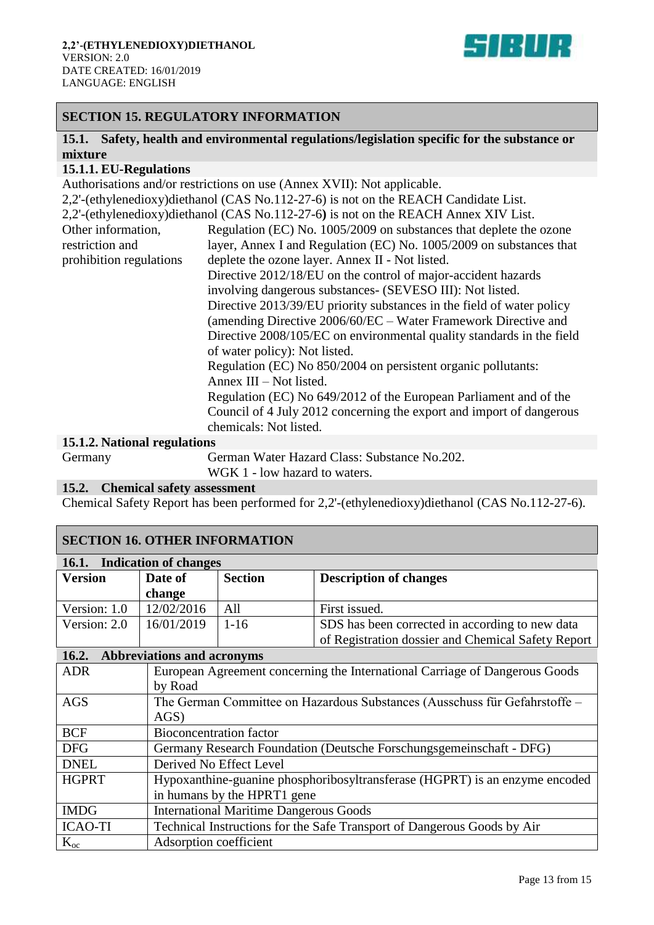

## **SECTION 15. REGULATORY INFORMATION**

## **15.1. Safety, health and environmental regulations/legislation specific for the substance or mixture**

#### **15.1.1. EU-Regulations**

Authorisations and/or restrictions on use (Annex XVII): Not applicable.

2,2'-(ethylenedioxy)diethanol (CAS No.112-27-6) is not on the REACH Candidate List. 2,2'-(ethylenedioxy)diethanol (CAS No.112-27-6**)** is not on the REACH Annex XIV List. Other information, restriction and prohibition regulations Regulation (EC) No. 1005/2009 on substances that deplete the ozone layer, Annex I and Regulation (EC) No. 1005/2009 on substances that deplete the ozone layer. Annex II - Not listed. Directive 2012/18/EU on the control of major-accident hazards involving dangerous substances- (SEVESO III): Not listed. Directive 2013/39/EU priority substances in the field of water policy (amending Directive 2006/60/EC – Water Framework Directive and Directive 2008/105/EC on environmental quality standards in the field of water policy): Not listed. Regulation (EC) No 850/2004 on persistent organic pollutants: Annex III – Not listed. Regulation (EC) No 649/2012 of the European Parliament and of the Council of 4 July 2012 concerning the export and import of dangerous chemicals: Not listed.

#### **15.1.2. National regulations**

Germany German Water Hazard Class: Substance No.202. WGK 1 - low hazard to waters.

#### **15.2. Chemical safety assessment**

Chemical Safety Report has been performed for 2,2'-(ethylenedioxy)diethanol (CAS No.112-27-6).

## **SECTION 16. OTHER INFORMATION**

| <b>Indication of changes</b><br><b>16.1.</b> |                                   |                                               |                                                                             |
|----------------------------------------------|-----------------------------------|-----------------------------------------------|-----------------------------------------------------------------------------|
| <b>Version</b>                               | Date of                           | <b>Section</b>                                | <b>Description of changes</b>                                               |
|                                              | change                            |                                               |                                                                             |
| Version: 1.0                                 | 12/02/2016                        | All                                           | First issued.                                                               |
| Version: 2.0                                 | 16/01/2019                        | $1-16$                                        | SDS has been corrected in according to new data                             |
|                                              |                                   |                                               | of Registration dossier and Chemical Safety Report                          |
| 16.2.                                        | <b>Abbreviations and acronyms</b> |                                               |                                                                             |
| <b>ADR</b>                                   |                                   |                                               | European Agreement concerning the International Carriage of Dangerous Goods |
|                                              | by Road                           |                                               |                                                                             |
| <b>AGS</b>                                   |                                   |                                               | The German Committee on Hazardous Substances (Ausschuss für Gefahrstoffe –  |
|                                              | AGS)                              |                                               |                                                                             |
| <b>BCF</b>                                   | <b>Bioconcentration factor</b>    |                                               |                                                                             |
| <b>DFG</b>                                   |                                   |                                               | Germany Research Foundation (Deutsche Forschungsgemeinschaft - DFG)         |
| <b>DNEL</b>                                  |                                   | Derived No Effect Level                       |                                                                             |
| <b>HGPRT</b>                                 |                                   |                                               | Hypoxanthine-guanine phosphoribosyltransferase (HGPRT) is an enzyme encoded |
|                                              |                                   | in humans by the HPRT1 gene                   |                                                                             |
| <b>IMDG</b>                                  |                                   | <b>International Maritime Dangerous Goods</b> |                                                                             |
| <b>ICAO-TI</b>                               |                                   |                                               | Technical Instructions for the Safe Transport of Dangerous Goods by Air     |
| $K_{oc}$                                     | Adsorption coefficient            |                                               |                                                                             |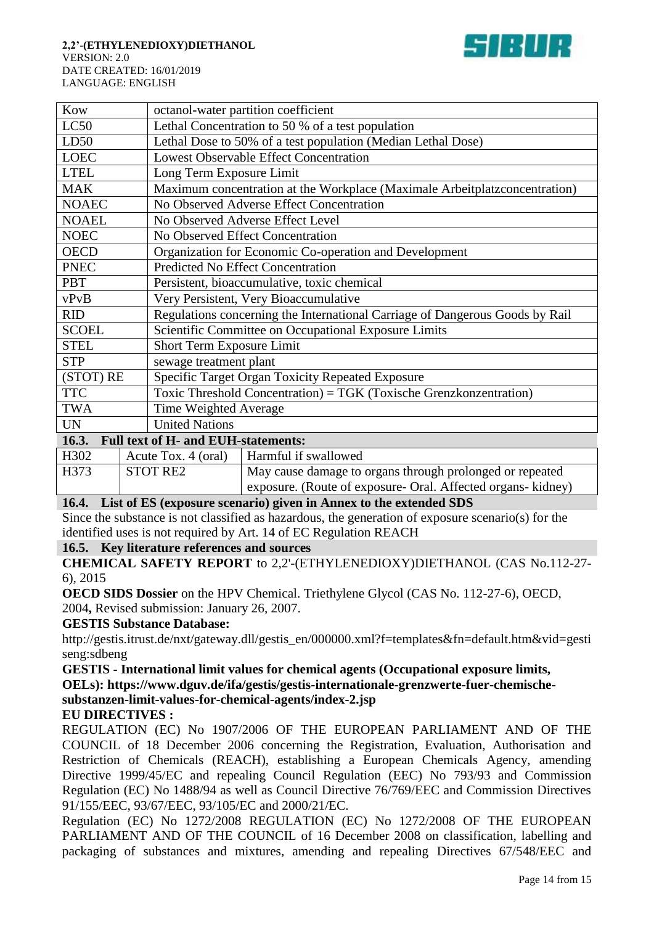

| Kow                     |                     | octanol-water partition coefficient                                          |  |  |
|-------------------------|---------------------|------------------------------------------------------------------------------|--|--|
| LC50                    |                     | Lethal Concentration to 50 % of a test population                            |  |  |
| LD50                    |                     | Lethal Dose to 50% of a test population (Median Lethal Dose)                 |  |  |
| <b>LOEC</b>             |                     | <b>Lowest Observable Effect Concentration</b>                                |  |  |
| <b>LTEL</b>             |                     | Long Term Exposure Limit                                                     |  |  |
| <b>MAK</b>              |                     | Maximum concentration at the Workplace (Maximale Arbeitplatzconcentration)   |  |  |
| <b>NOAEC</b>            |                     | No Observed Adverse Effect Concentration                                     |  |  |
| <b>NOAEL</b>            |                     | No Observed Adverse Effect Level                                             |  |  |
| <b>NOEC</b>             |                     | No Observed Effect Concentration                                             |  |  |
| <b>OECD</b>             |                     | Organization for Economic Co-operation and Development                       |  |  |
| <b>PNEC</b>             |                     | <b>Predicted No Effect Concentration</b>                                     |  |  |
| <b>PBT</b>              |                     | Persistent, bioaccumulative, toxic chemical                                  |  |  |
| vPvB                    |                     | Very Persistent, Very Bioaccumulative                                        |  |  |
| <b>RID</b>              |                     | Regulations concerning the International Carriage of Dangerous Goods by Rail |  |  |
| <b>SCOEL</b>            |                     | Scientific Committee on Occupational Exposure Limits                         |  |  |
| <b>STEL</b>             |                     | Short Term Exposure Limit                                                    |  |  |
| <b>STP</b>              |                     | sewage treatment plant                                                       |  |  |
| (STOT) RE               |                     | Specific Target Organ Toxicity Repeated Exposure                             |  |  |
| <b>TTC</b>              |                     | Toxic Threshold Concentration) = TGK (Toxische Grenzkonzentration)           |  |  |
| <b>TWA</b>              |                     | Time Weighted Average                                                        |  |  |
| <b>UN</b>               |                     | <b>United Nations</b>                                                        |  |  |
| 16.3.                   |                     | Full text of H- and EUH-statements:                                          |  |  |
| H302                    | Acute Tox. 4 (oral) | Harmful if swallowed                                                         |  |  |
| H373<br><b>STOT RE2</b> |                     | May cause damage to organs through prolonged or repeated                     |  |  |
|                         |                     | exposure. (Route of exposure- Oral. Affected organs- kidney)                 |  |  |

## **16.4. List of ES (exposure scenario) given in Annex to the extended SDS**

Since the substance is not classified as hazardous, the generation of exposure scenario(s) for the identified uses is not required by Art. 14 of EC Regulation REACH

## **16.5. Key literature references and sources**

**CHEMICAL SAFETY REPORT** to 2,2'-(ETHYLENEDIOXY)DIETHANOL (CAS No.112-27- 6), 2015

**OECD SIDS Dossier** on the HPV Chemical. Triethylene Glycol (CAS No. 112-27-6), OECD, 2004**,** Revised submission: January 26, 2007.

## **GESTIS Substance Database:**

http://gestis.itrust.de/nxt/gateway.dll/gestis\_en/000000.xml?f=templates&fn=default.htm&vid=gesti seng:sdbeng

**GESTIS - International limit values for chemical agents (Occupational exposure limits, OELs): https://www.dguv.de/ifa/gestis/gestis-internationale-grenzwerte-fuer-chemischesubstanzen-limit-values-for-chemical-agents/index-2.jsp**

## **EU DIRECTIVES :**

REGULATION (EC) No 1907/2006 OF THE EUROPEAN PARLIAMENT AND OF THE COUNCIL of 18 December 2006 concerning the Registration, Evaluation, Authorisation and Restriction of Chemicals (REACH), establishing a European Chemicals Agency, amending Directive 1999/45/EC and repealing Council Regulation (EEC) No 793/93 and Commission Regulation (EC) No 1488/94 as well as Council Directive 76/769/EEC and Commission Directives 91/155/EEC, 93/67/EEC, 93/105/EC and 2000/21/EC.

Regulation (EC) No 1272/2008 REGULATION (EC) No 1272/2008 OF THE EUROPEAN PARLIAMENT AND OF THE COUNCIL of 16 December 2008 on classification, labelling and packaging of substances and mixtures, amending and repealing Directives 67/548/EEC and